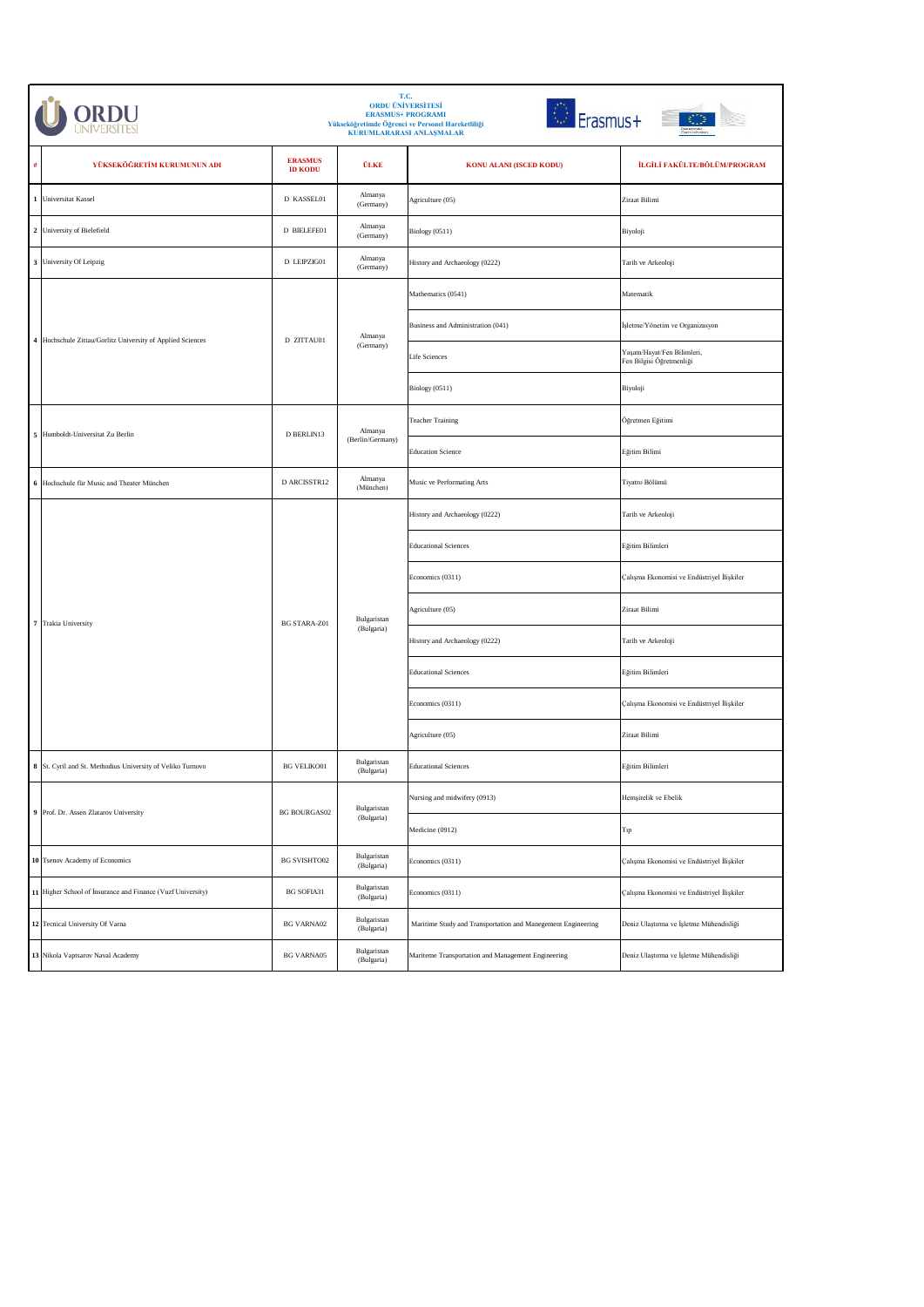|                     | T.C.<br><b>ORDU ÜNİVERSİTESİ</b><br><b>Erasmus+</b><br><b>ERASMUS+ PROGRAMI</b><br>Yükseköğretimde Öğrenci ve Personel Hareketliliği<br>KURUMLARARASI ANLAŞMALAR |                                  |                           |                                                              |                                                        |
|---------------------|------------------------------------------------------------------------------------------------------------------------------------------------------------------|----------------------------------|---------------------------|--------------------------------------------------------------|--------------------------------------------------------|
| #                   | YÜKSEKÖĞRETİM KURUMUNUN ADI                                                                                                                                      | <b>ERASMUS</b><br><b>ID KODU</b> | ÜLKE                      | KONU ALANI (ISCED KODU)                                      | İLGİLİ FAKÜLTE/BÖLÜM/PROGRAM                           |
| $\mathbf 1$         | Universitat Kassel                                                                                                                                               | D KASSEL01                       | Almanya<br>(Germany)      | Agriculture (05)                                             | Ziraat Bilimi                                          |
|                     | 2 University of Bielefield                                                                                                                                       | D BIELEFE01                      | Almanya<br>(Germany)      | Biology (0511)                                               | Biyoloji                                               |
|                     | 3 University Of Leipzig                                                                                                                                          | D LEIPZIG01                      | Almanya<br>(Germany)      | History and Archaeology (0222)                               | Tarih ve Arkeoloji                                     |
|                     |                                                                                                                                                                  |                                  |                           | Mathematics (0541)                                           | Matematik                                              |
|                     | 4 Hochschule Zittau/Gorlitz University of Applied Sciences                                                                                                       |                                  | Almanya                   | Business and Administration (041)                            | İşletme/Yönetim ve Organizasyon                        |
|                     |                                                                                                                                                                  | D ZITTAU01                       | (Germany)                 | Life Sciences                                                | Yaşam/Hayat/Fen Bilimleri,<br>Fen Bilgisi Öğretmenliği |
|                     |                                                                                                                                                                  |                                  |                           | Biology (0511)                                               | Biyoloji                                               |
|                     | 5 Humboldt-Universitat Zu Berlin                                                                                                                                 | D BERLIN13                       | Almanya                   | <b>Teacher Training</b>                                      | Öğretmen Eğitimi                                       |
|                     |                                                                                                                                                                  |                                  | (Berlin/Germany)          | <b>Education Science</b>                                     | Eğitim Bilimi                                          |
| $\,$ 6 $\,$         | Hochschule für Music and Theater München                                                                                                                         | D ARCISSTR12                     | Almanya<br>(München)      | Music ve Performating Arts                                   | Tiyatro Bölümü                                         |
|                     | Trakia University                                                                                                                                                | <b>BG STARA-Z01</b>              | Bulgaristan<br>(Bulgaria) | History and Archaeology (0222)                               | Tarih ve Arkeoloji                                     |
|                     |                                                                                                                                                                  |                                  |                           | <b>Educational Sciences</b>                                  | Eğitim Bilimleri                                       |
|                     |                                                                                                                                                                  |                                  |                           | Economics (0311)                                             | Çalışma Ekonomisi ve Endüstriyel İlişkiler             |
| $\scriptstyle\rm 7$ |                                                                                                                                                                  |                                  |                           | Agriculture (05)                                             | Ziraat Bilimi                                          |
|                     |                                                                                                                                                                  |                                  |                           | History and Archaeology (0222)                               | Tarih ve Arkeoloji                                     |
|                     |                                                                                                                                                                  |                                  |                           | <b>Educational Sciences</b>                                  | Eğitim Bilimleri                                       |
|                     |                                                                                                                                                                  |                                  |                           | Economics (0311)                                             | Çalışma Ekonomisi ve Endüstriyel İlişkiler             |
|                     |                                                                                                                                                                  |                                  |                           | Agriculture (05)                                             | Ziraat Bilimi                                          |
|                     | 8 St. Cyril and St. Methodius University of Veliko Turnovo                                                                                                       | <b>BG VELIKO01</b>               | Bulgaristan<br>(Bulgaria) | <b>Educational Sciences</b>                                  | Eğitim Bilimleri                                       |
|                     | 9 Prof. Dr. Assen Zlatarov University                                                                                                                            | <b>BG BOURGAS02</b>              | Bulgaristan<br>(Bulgaria) | Nursing and midwifery (0913)                                 | Hemşirelik ve Ebelik                                   |
|                     |                                                                                                                                                                  |                                  |                           | Medicine (0912)                                              | Tıp                                                    |
|                     | 10 Tsenov Academy of Economics                                                                                                                                   | <b>BG SVISHTO02</b>              | Bulgaristan<br>(Bulgaria) | Economics (0311)                                             | Çalışma Ekonomisi ve Endüstriyel İlişkiler             |
|                     | 11 Higher School of Insurance and Finance (Vuzf University)                                                                                                      | <b>BG SOFIA31</b>                | Bulgaristan<br>(Bulgaria) | Economics (0311)                                             | Çalışma Ekonomisi ve Endüstriyel İlişkiler             |
|                     | 12 Tecnical University Of Varna                                                                                                                                  | <b>BG VARNA02</b>                | Bulgaristan<br>(Bulgaria) | Maritime Study and Transportation and Manegement Engineering | Deniz Ulaştırma ve İşletme Mühendisliği                |
|                     | 13 Nikola Vaptsarov Naval Academy                                                                                                                                | <b>BG VARNA05</b>                | Bulgaristan<br>(Bulgaria) | Mariteme Transportation and Management Engineering           | Deniz Ulaştırma ve İşletme Mühendisliği                |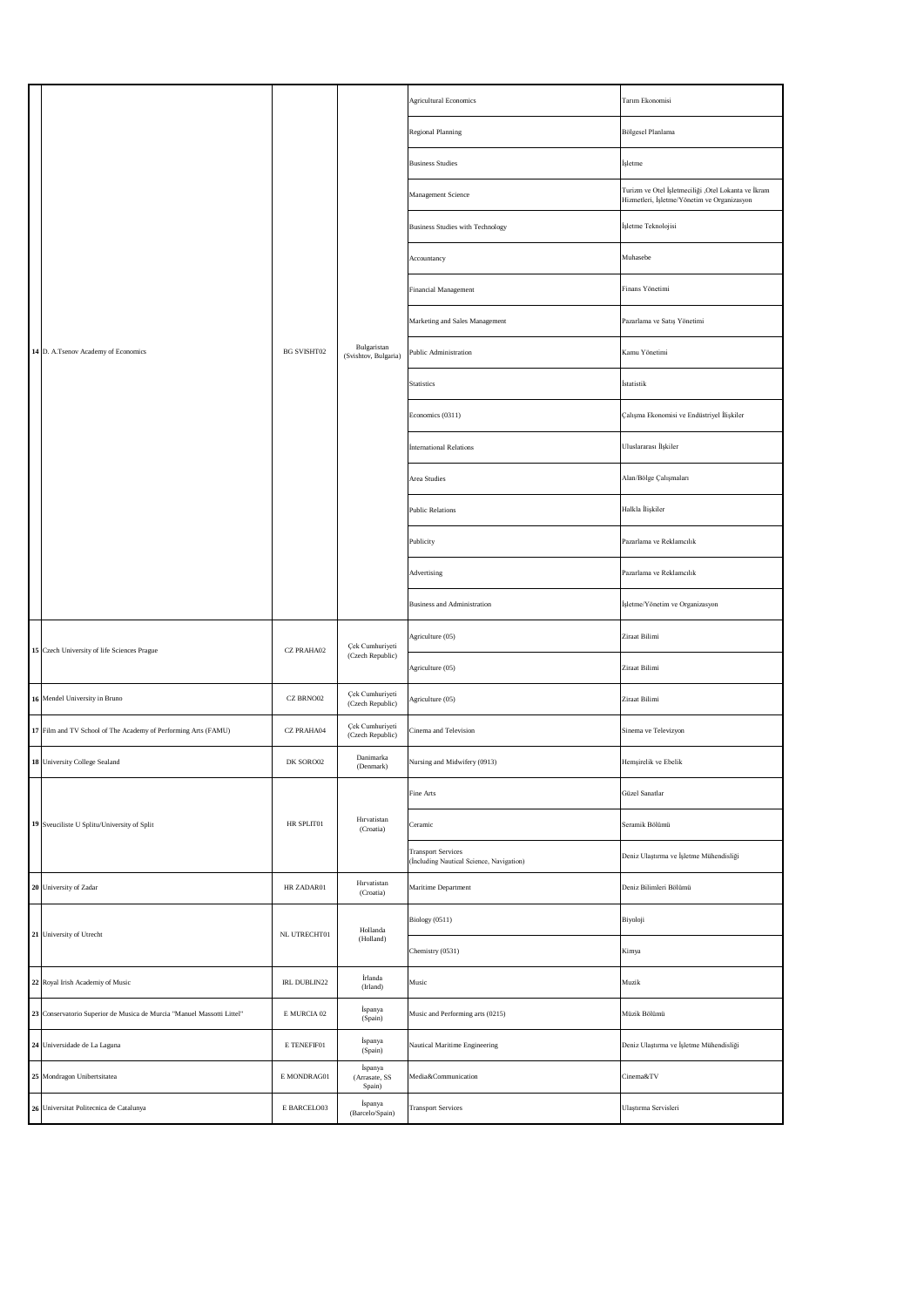|  |                                                                        |                    |                                     | <b>Agricultural Economics</b>                                         | Tarım Ekonomisi                                                                                    |
|--|------------------------------------------------------------------------|--------------------|-------------------------------------|-----------------------------------------------------------------------|----------------------------------------------------------------------------------------------------|
|  |                                                                        |                    |                                     | Regional Planning                                                     | Bölgesel Planlama                                                                                  |
|  |                                                                        |                    |                                     | <b>Business Studies</b>                                               | İşletme                                                                                            |
|  |                                                                        |                    |                                     | Management Science                                                    | Turizm ve Otel İşletmeciliği ,Otel Lokanta ve İkram<br>Hizmetleri, İşletme/Yönetim ve Organizasyon |
|  |                                                                        |                    |                                     | <b>Business Studies with Technology</b>                               | İşletme Teknolojisi                                                                                |
|  |                                                                        |                    |                                     | Accountancy                                                           | Muhasebe                                                                                           |
|  |                                                                        |                    |                                     | Financial Management                                                  | Finans Yönetimi                                                                                    |
|  |                                                                        |                    |                                     | Marketing and Sales Management                                        | Pazarlama ve Satış Yönetimi                                                                        |
|  | 14 D. A.Tsenov Academy of Economics                                    | <b>BG SVISHT02</b> | Bulgaristan<br>(Svishtov, Bulgaria) | Public Administration                                                 | Kamu Yönetimi                                                                                      |
|  |                                                                        |                    |                                     | <b>Statistics</b>                                                     | İstatistik                                                                                         |
|  |                                                                        |                    |                                     | Economics (0311)                                                      | Çalışma Ekonomisi ve Endüstriyel İlişkiler                                                         |
|  |                                                                        |                    |                                     | <b>International Relations</b>                                        | Uluslararası İlşkiler                                                                              |
|  |                                                                        |                    |                                     | Area Studies                                                          | Alan/Bölge Çalışmaları                                                                             |
|  |                                                                        |                    |                                     | <b>Public Relations</b>                                               | Halkla İlişkiler                                                                                   |
|  |                                                                        |                    |                                     | Publicity                                                             | Pazarlama ve Reklamcılık                                                                           |
|  |                                                                        |                    |                                     | Advertising                                                           | Pazarlama ve Reklamcılık                                                                           |
|  |                                                                        |                    |                                     | <b>Business and Administration</b>                                    | İşletme/Yönetim ve Organizasyon                                                                    |
|  | 15 Czech University of life Sciences Prague                            | CZ PRAHA02         | Çek Cumhuriyeti<br>(Czech Republic) | Agriculture (05)                                                      | Ziraat Bilimi                                                                                      |
|  |                                                                        |                    |                                     | Agriculture (05)                                                      | Ziraat Bilimi                                                                                      |
|  | 16 Mendel University in Bruno                                          | CZ BRNO02          | Çek Cumhuriyeti<br>(Czech Republic) | Agriculture (05)                                                      | Ziraat Bilimi                                                                                      |
|  | 17 Film and TV School of The Academy of Performing Arts (FAMU)         | CZ PRAHA04         | Çek Cumhuriyeti<br>(Czech Republic) | Cinema and Television                                                 | Sinema ve Televizyon                                                                               |
|  | 18 University College Sealand                                          | DK SORO02          | Danimarka<br>(Denmark)              | Nursing and Midwifery (0913)                                          | Hemşirelik ve Ebelik                                                                               |
|  | 19 Sveuciliste U Splitu/University of Split                            | HR SPLIT01         | Hırvatistan<br>(Croatia)            | Fine Arts                                                             | Güzel Sanatlar                                                                                     |
|  |                                                                        |                    |                                     | Ceramic                                                               | Seramik Bölümü                                                                                     |
|  |                                                                        |                    |                                     | <b>Transport Services</b><br>(İncluding Nautical Science, Navigation) | Deniz Ulaştırma ve İşletme Mühendisliği                                                            |
|  | 20 University of Zadar                                                 | HR ZADAR01         | Hırvatistan<br>(Croatia)            | Maritime Department                                                   | Deniz Bilimleri Bölümü                                                                             |
|  | 21 University of Utrecht                                               | NL UTRECHT01       | Hollanda                            | Biology (0511)                                                        | Biyoloji                                                                                           |
|  |                                                                        |                    | (Holland)                           | Chemistry (0531)                                                      | Kimya                                                                                              |
|  | 22 Royal Irish Academiy of Music                                       | IRL DUBLIN22       | İrlanda<br>(Irland)                 | Music                                                                 | Muzik                                                                                              |
|  | 23 Conservatorio Superior de Musica de Murcia "Manuel Massotti Littel" | E MURCIA 02        | İspanya<br>(Spain)                  | Music and Performing arts (0215)                                      | Müzik Bölümü                                                                                       |
|  | 24 Universidade de La Laguna                                           | E TENEFIF01        | İspanya<br>(Spain)                  | Nautical Maritime Engineering                                         | Deniz Ulaştırma ve İşletme Mühendisliği                                                            |
|  | 25 Mondragon Unibertsitatea                                            | E MONDRAG01        | İspanya<br>(Arrasate, SS<br>Spain)  | Media&Communication                                                   | Cinema&TV                                                                                          |
|  | 26 Universitat Politecnica de Catalunya                                | E BARCELO03        | İspanya<br>(Barcelo/Spain)          | <b>Transport Services</b>                                             | Ulaştırma Servisleri                                                                               |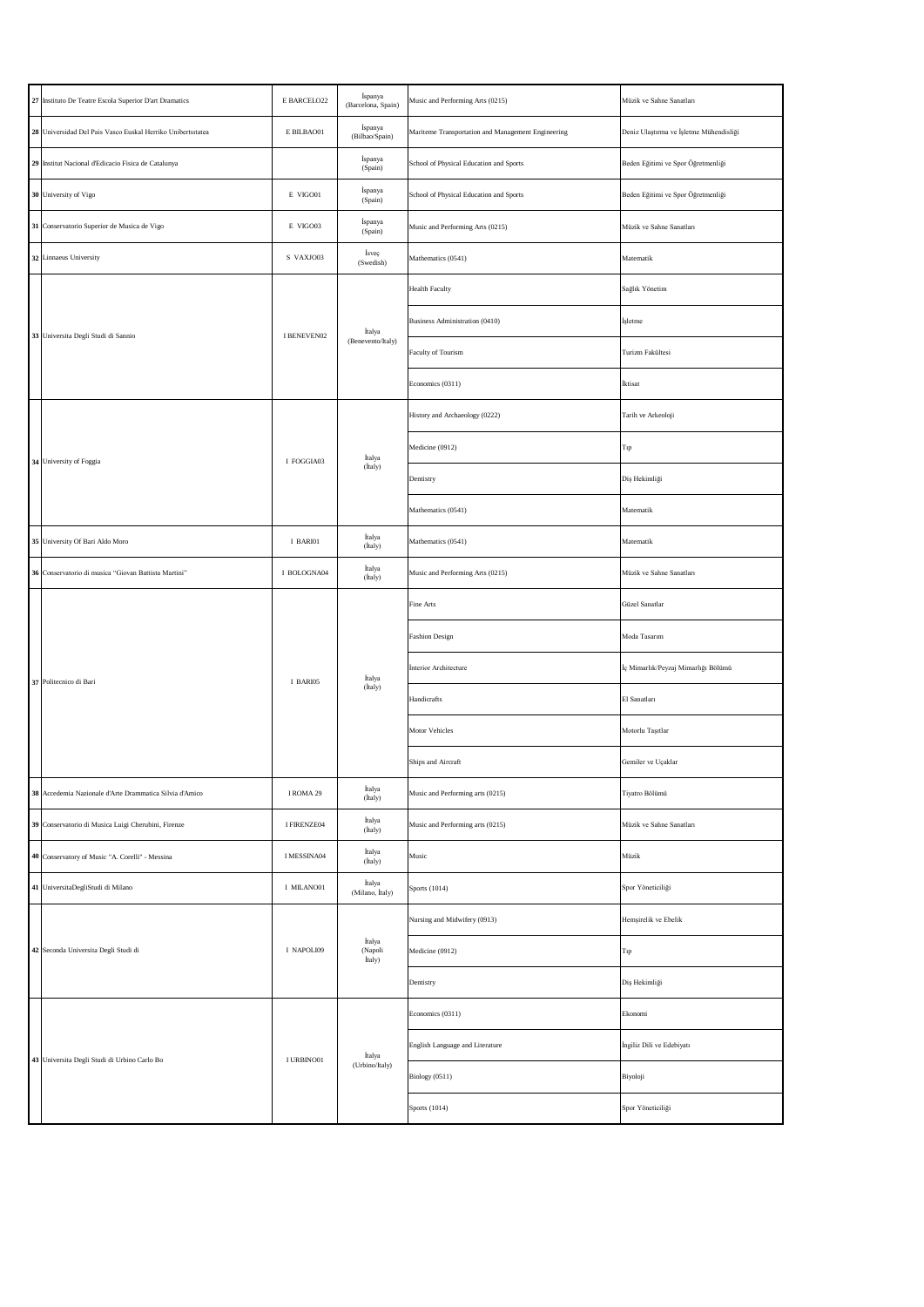|  | 27 Instituto De Teatre Escola Superior D'art Dramatics      | E BARCELO22 | İspanya<br>(Barcelona, Spain) | Music and Performing Arts (0215)                   | Müzik ve Sahne Sanatları                |
|--|-------------------------------------------------------------|-------------|-------------------------------|----------------------------------------------------|-----------------------------------------|
|  | 28 Universidad Del Pais Vasco Euskal Herriko Unibertsitatea | E BILBAO01  | İspanya<br>(Bilbao/Spain)     | Mariteme Transportation and Management Engineering | Deniz Ulaştırma ve İşletme Mühendisliği |
|  | 29 Institut Nacional d'Edicacio Fisica de Catalunya         |             | İspanya<br>(Spain)            | School of Physical Education and Sports            | Beden Eğitimi ve Spor Öğretmenliği      |
|  | 30 University of Vigo                                       | E VIGO01    | İspanya<br>(Spain)            | School of Physical Education and Sports            | Beden Eğitimi ve Spor Öğretmenliği      |
|  | 31 Conservatorio Superior de Musica de Vigo                 | E VIGO03    | İspanya<br>(Spain)            | Music and Performing Arts (0215)                   | Müzik ve Sahne Sanatları                |
|  | 32 Linnaeus University                                      | S VAXJO03   | İsveç<br>(Swedish)            | Mathematics (0541)                                 | Matematik                               |
|  | 33 Universita Degli Studi di Sannio                         | I BENEVEN02 | İtalya                        | <b>Health Faculty</b>                              | Sağlık Yönetim                          |
|  |                                                             |             |                               | Business Administration (0410)                     | İşletme                                 |
|  |                                                             |             | (Benevento/Italy)             | Faculty of Tourism                                 | Turizm Fakültesi                        |
|  |                                                             |             |                               | Economics (0311)                                   | İktisat                                 |
|  |                                                             |             | İtalya<br>(İtaly)             | History and Archaeology (0222)                     | Tarih ve Arkeoloji                      |
|  | 34 University of Foggia                                     | I FOGGIA03  |                               | Medicine (0912)                                    | Tıp                                     |
|  |                                                             |             |                               | Dentistry                                          | Diş Hekimliği                           |
|  |                                                             |             |                               | Mathematics (0541)                                 | Matematik                               |
|  | 35 University Of Bari Aldo Moro                             | I BARI01    | İtalya<br>(İtaly)             | Mathematics (0541)                                 | Matematik                               |
|  | 36 Conservatorio di musica "Giovan Battista Martini"        | I BOLOGNA04 | İtalya<br>(İtaly)             | Music and Performing Arts (0215)                   | Müzik ve Sahne Sanatları                |
|  | 37 Politecnico di Bari                                      | I BARI05    | İtalya<br>(İtaly)             | Fine Arts                                          | Güzel Sanatlar                          |
|  |                                                             |             |                               | <b>Fashion Design</b>                              | Moda Tasarım                            |
|  |                                                             |             |                               | <b>Interior Architecture</b>                       | İç Mimarlık/Peyzaj Mimarlığı Bölümü     |
|  |                                                             |             |                               | Handicrafts                                        | El Sanatları                            |
|  |                                                             |             |                               | Motor Vehicles                                     | Motorlu Taşıtlar                        |
|  |                                                             |             |                               | Ships and Aircraft                                 | Gemiler ve Uçaklar                      |
|  | 38 Accedemia Nazionale d'Arte Drammatica Silvia d'Amico     | I ROMA 29   | İtalya<br>(İtaly)             | Music and Performing arts (0215)                   | Tiyatro Bölümü                          |
|  | 39 Conservatorio di Musica Luigi Cherubini, Firenze         | I FIRENZE04 | İtalya<br>(İtaly)             | Music and Performing arts (0215)                   | Müzik ve Sahne Sanatları                |
|  | 40 Conservatory of Music "A. Corelli" - Messina             | I MESSINA04 | İtalya<br>(İtaly)             | Music                                              | Müzik                                   |
|  | 41 UniversitaDegliStudi di Milano                           | I MILANO01  | İtalya<br>(Milano, İtaly)     | Sports (1014)                                      | Spor Yöneticiliği                       |
|  | 42 Seconda Universita Degli Studi di                        | I NAPOLI09  |                               | Nursing and Midwifery (0913)                       | Hemşirelik ve Ebelik                    |
|  |                                                             |             | İtalya<br>(Napoli<br>İtaly)   | Medicine (0912)                                    | Tıp                                     |
|  |                                                             |             |                               | Dentistry                                          | Diş Hekimliği                           |
|  |                                                             | I URBINO01  |                               | Economics (0311)                                   | Ekonomi                                 |
|  | 43 Universita Degli Studi di Urbino Carlo Bo                |             | İtalya                        | English Language and Literature                    | İngiliz Dili ve Edebiyatı               |
|  |                                                             |             | (Urbino/Italy)                | Biology (0511)                                     | Biyoloji                                |
|  |                                                             |             |                               | Sports (1014)                                      | Spor Yöneticiliği                       |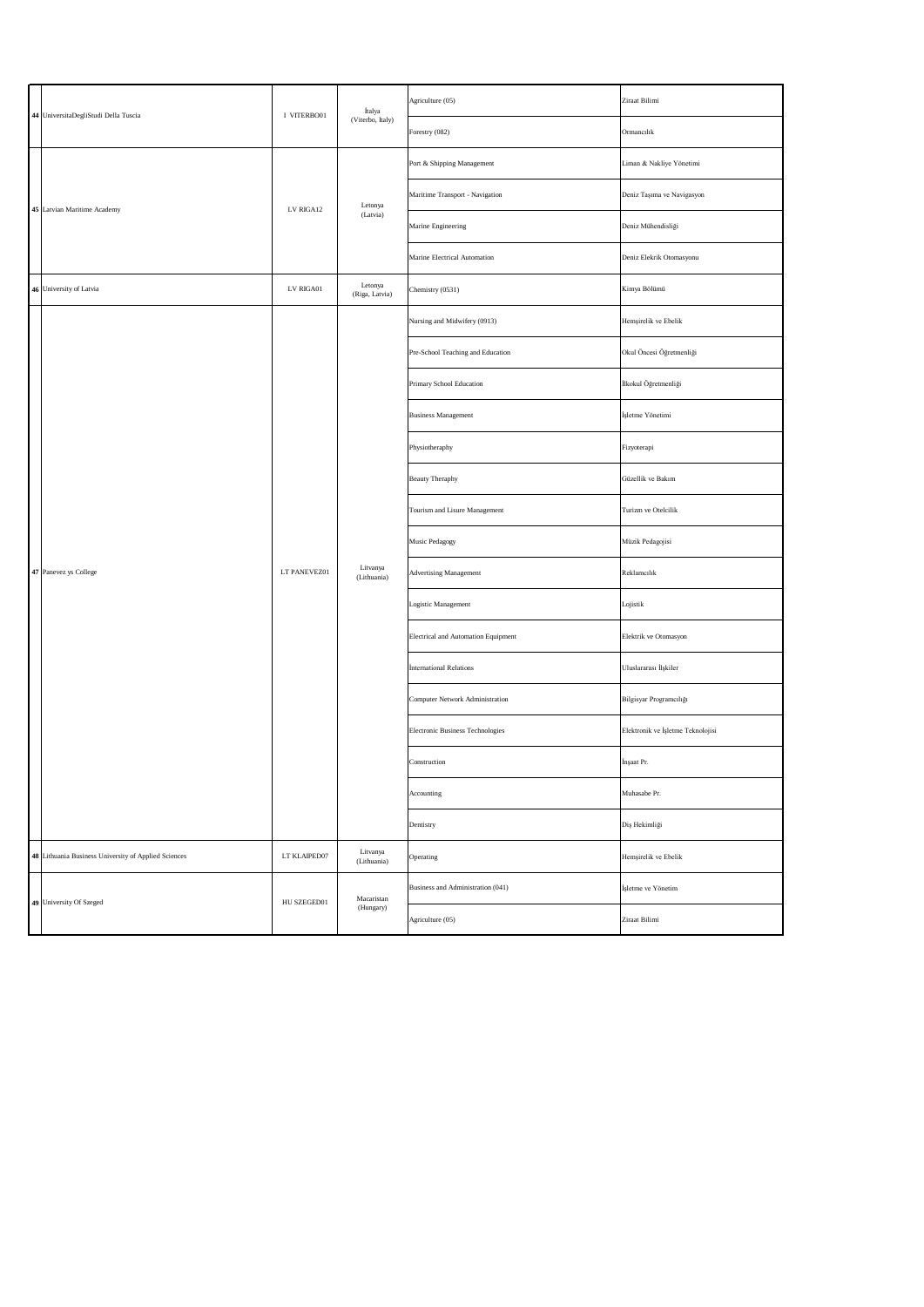|  | 44 UniversitaDegliStudi Della Tuscia                 | I VITERBO01  | İtalya                    | Agriculture (05)                    | Ziraat Bilimi                     |
|--|------------------------------------------------------|--------------|---------------------------|-------------------------------------|-----------------------------------|
|  |                                                      |              | (Viterbo, Italy)          | Forestry (082)                      | Ormancılık                        |
|  | 45 Latvian Maritime Academy                          | LV RIGA12    | Letonya<br>(Latvia)       | Port & Shipping Management          | Liman & Nakliye Yönetimi          |
|  |                                                      |              |                           | Maritime Transport - Navigation     | Deniz Taşıma ve Navigasyon        |
|  |                                                      |              |                           | Marine Engineering                  | Deniz Mühendisliği                |
|  |                                                      |              |                           | Marine Electrical Automation        | Deniz Elekrik Otomasyonu          |
|  | 46 University of Latvia                              | LV RIGA01    | Letonya<br>(Riga, Latvia) | Chemistry (0531)                    | Kimya Bölümü                      |
|  |                                                      |              | Litvanya<br>(Lithuania)   | Nursing and Midwifery (0913)        | Hemşirelik ve Ebelik              |
|  |                                                      | LT PANEVEZ01 |                           | Pre-School Teaching and Education   | Okul Öncesi Öğretmenliği          |
|  |                                                      |              |                           | Primary School Education            | İlkokul Öğretmenliği              |
|  | 47 Panevez ys College                                |              |                           | <b>Business Management</b>          | İşletme Yönetimi                  |
|  |                                                      |              |                           | Physiotheraphy                      | Fizyoterapi                       |
|  |                                                      |              |                           | <b>Beauty Theraphy</b>              | Güzellik ve Bakım                 |
|  |                                                      |              |                           | Tourism and Lisure Management       | Turizm ve Otelcilik               |
|  |                                                      |              |                           | Music Pedagogy                      | Müzik Pedagojisi                  |
|  |                                                      |              |                           | Advertising Management              | Reklamcılık                       |
|  |                                                      |              |                           | Logistic Management                 | Lojistik                          |
|  |                                                      |              |                           | Electrical and Automation Equipment | Elektrik ve Otomasyon             |
|  |                                                      |              |                           | <b>International Relations</b>      | Uluslararası İlşkiler             |
|  |                                                      |              |                           | Computer Network Administration     | Bilgisyar Programcılığı           |
|  |                                                      |              |                           | Electronic Business Technologies    | Elektronik ve İşletme Teknolojisi |
|  |                                                      |              |                           | Construction                        | İnşaat Pr.                        |
|  |                                                      |              |                           | Accounting                          | Muhasabe Pr.                      |
|  |                                                      |              |                           | Dentistry                           | Diş Hekimliği                     |
|  | 48 Lithuania Business University of Applied Sciences | LT KLAIPED07 | Litvanya<br>(Lithuania)   | Operating                           | Hemşirelik ve Ebelik              |
|  | 49 University Of Szeged                              | HU SZEGED01  | Macaristan<br>(Hungary)   | Business and Administration (041)   | İşletme ve Yönetim                |
|  |                                                      |              |                           | Agriculture (05)                    | Ziraat Bilimi                     |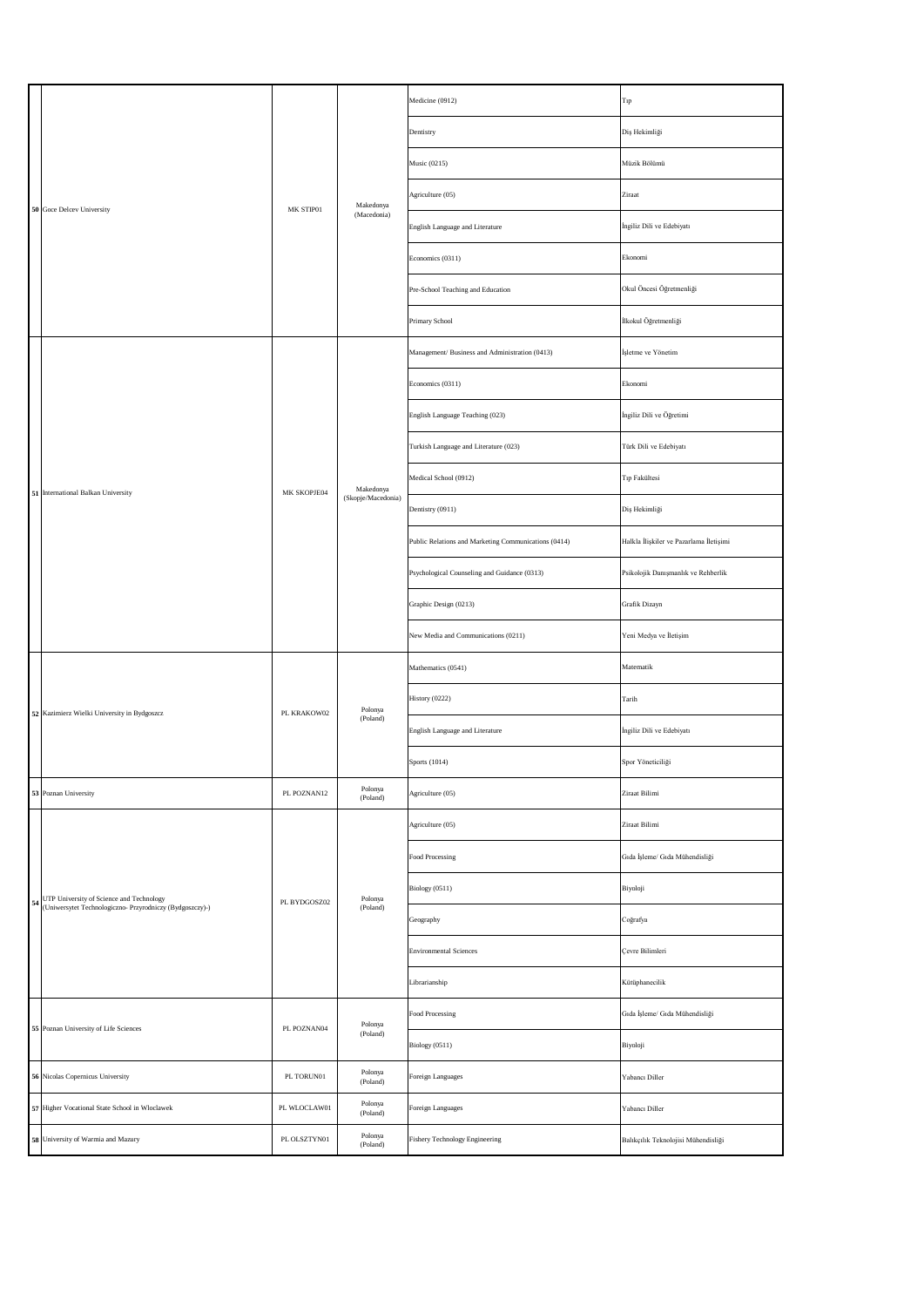|  | 50 Goce Delcev University                                                                               | MK STIP01    | Makedonya<br>(Macedonia)             | Medicine (0912)                                      | Tıp                                     |
|--|---------------------------------------------------------------------------------------------------------|--------------|--------------------------------------|------------------------------------------------------|-----------------------------------------|
|  |                                                                                                         |              |                                      | Dentistry                                            | Diş Hekimliği                           |
|  |                                                                                                         |              |                                      | Music (0215)                                         | Müzik Bölümü                            |
|  |                                                                                                         |              |                                      | Agriculture (05)                                     | Ziraat                                  |
|  |                                                                                                         |              |                                      | English Language and Literature                      | İngiliz Dili ve Edebiyatı               |
|  |                                                                                                         |              |                                      | Economics (0311)                                     | Ekonomi                                 |
|  |                                                                                                         |              |                                      | Pre-School Teaching and Education                    | Okul Öncesi Öğretmenliği                |
|  |                                                                                                         |              |                                      | Primary School                                       | İlkokul Öğretmenliği                    |
|  |                                                                                                         |              |                                      | Management/ Business and Administration (0413)       | İşletme ve Yönetim                      |
|  |                                                                                                         |              |                                      | Economics (0311)                                     | Ekonomi                                 |
|  |                                                                                                         |              |                                      | English Language Teaching (023)                      | İngiliz Dili ve Öğretimi                |
|  |                                                                                                         | MK SKOPJE04  |                                      | Turkish Language and Literature (023)                | Türk Dili ve Edebiyatı                  |
|  | 51 International Balkan University                                                                      |              | Makedonya<br>(Skopje/Macedonia)      | Medical School (0912)                                | Tıp Fakültesi                           |
|  |                                                                                                         |              |                                      | Dentistry (0911)                                     | Diş Hekimliği                           |
|  |                                                                                                         |              |                                      | Public Relations and Marketing Communications (0414) | Halkla İlişkiler ve Pazarlama İletişimi |
|  |                                                                                                         |              |                                      | Psychological Counseling and Guidance (0313)         | Psikolojik Danışmanlık ve Rehberlik     |
|  |                                                                                                         |              |                                      | Graphic Design (0213)                                | Grafik Dizayn                           |
|  |                                                                                                         |              |                                      | New Media and Communications (0211)                  | Yeni Medya ve İletişim                  |
|  | 52 Kazimierz Wielki University in Bydgoszcz                                                             | PL KRAKOW02  | Polonya<br>(Poland)                  | Mathematics (0541)                                   | Matematik                               |
|  |                                                                                                         |              |                                      | History (0222)                                       | Tarih                                   |
|  |                                                                                                         |              |                                      | English Language and Literature                      | İngiliz Dili ve Edebiyatı               |
|  |                                                                                                         |              |                                      | Sports (1014)                                        | Spor Yöneticiliği                       |
|  | 53 Poznan University                                                                                    | PL POZNAN12  | $\operatorname{Polonya}$<br>(Poland) | Agriculture (05)                                     | Ziraat Bilimi                           |
|  | 54 UTP University of Science and Technology<br>(Uniwersytet Technologiczno- Przyrodniczy (Bydgoszczy)-) | PL BYDGOSZ02 | Polonya<br>(Poland)                  | Agriculture (05)                                     | Ziraat Bilimi                           |
|  |                                                                                                         |              |                                      | Food Processing                                      | Gıda İşleme/ Gıda Mühendisliği          |
|  |                                                                                                         |              |                                      | Biology (0511)                                       | Biyoloji                                |
|  |                                                                                                         |              |                                      | Geography                                            | Coğrafya                                |
|  |                                                                                                         |              |                                      | <b>Environmental Sciences</b>                        | Çevre Bilimleri                         |
|  |                                                                                                         |              |                                      | Librarianship                                        | Kütüphanecilik                          |
|  | 55 Poznan University of Life Sciences                                                                   | PL POZNAN04  | Polonya<br>(Poland)                  | Food Processing                                      | Gıda İşleme/ Gıda Mühendisliği          |
|  |                                                                                                         |              |                                      | Biology (0511)                                       | Biyoloji                                |
|  | 56 Nicolas Copernicus University                                                                        | PL TORUN01   | Polonya<br>(Poland)                  | Foreign Languages                                    | Yabancı Diller                          |
|  | 57 Higher Vocational State School in Wloclawek                                                          | PL WLOCLAW01 | Polonya<br>(Poland)                  | Foreign Languages                                    | Yabancı Diller                          |
|  | 58 University of Warmia and Mazury                                                                      | PL OLSZTYN01 | Polonya<br>(Poland)                  | Fishery Technology Engineering                       | Balıkçılık Teknolojisi Mühendisliği     |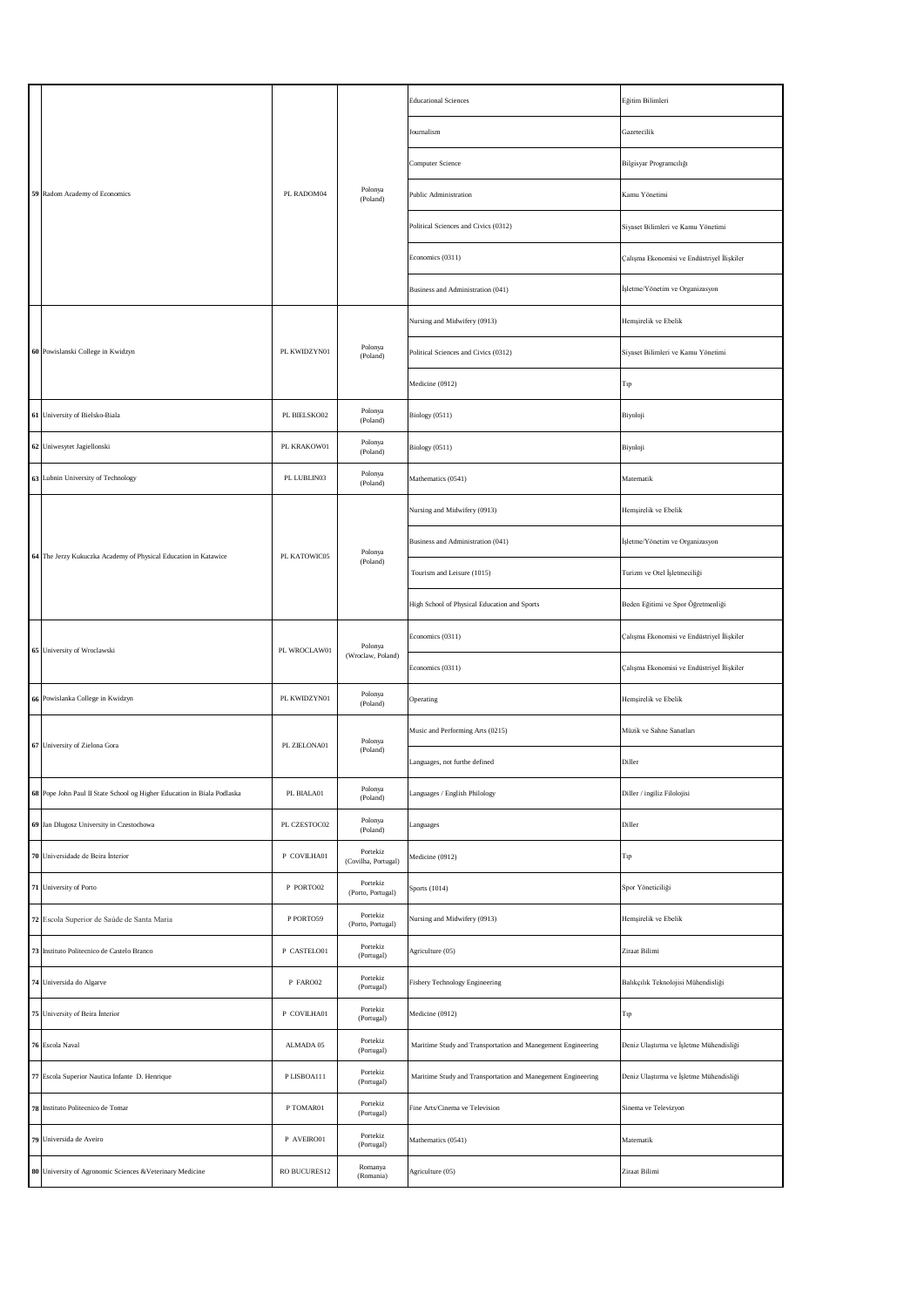|  | 59 Radom Academy of Economics                                           | PL RADOM04   | Polonya<br>(Poland)                          | <b>Educational Sciences</b>                                  | Eğitim Bilimleri                           |
|--|-------------------------------------------------------------------------|--------------|----------------------------------------------|--------------------------------------------------------------|--------------------------------------------|
|  |                                                                         |              |                                              | Journalism                                                   | Gazetecilik                                |
|  |                                                                         |              |                                              | Computer Science                                             | Bilgisyar Programcılığı                    |
|  |                                                                         |              |                                              | Public Administration                                        | Kamu Yönetimi                              |
|  |                                                                         |              |                                              | Political Sciences and Civics (0312)                         | Siyaset Bilimleri ve Kamu Yönetimi         |
|  |                                                                         |              |                                              | Economics (0311)                                             | Çalışma Ekonomisi ve Endüstriyel İlişkiler |
|  |                                                                         |              |                                              | Business and Administration (041)                            | İşletme/Yönetim ve Organizasyon            |
|  | 60 Powislanski College in Kwidzyn                                       |              | Polonya<br>(Poland)                          | Nursing and Midwifery (0913)                                 | Hemşirelik ve Ebelik                       |
|  |                                                                         | PL KWIDZYN01 |                                              | Political Sciences and Civics (0312)                         | Siyaset Bilimleri ve Kamu Yönetimi         |
|  |                                                                         |              |                                              | Medicine (0912)                                              | Tıp                                        |
|  | 61 University of Bielsko-Biala                                          | PL BIELSKO02 | Polonya<br>(Poland)                          | Biology (0511)                                               | Biyoloji                                   |
|  | 62 Uniwesytet Jagiellonski                                              | PL KRAKOW01  | Polonya<br>(Poland)                          | Biology (0511)                                               | Biyoloji                                   |
|  | 63 Lubnin University of Technology                                      | PL LUBLIN03  | Polonya<br>(Poland)                          | Mathematics (0541)                                           | Matematik                                  |
|  |                                                                         |              |                                              | Nursing and Midwifery (0913)                                 | Hemşirelik ve Ebelik                       |
|  | 64 The Jerzy Kukuczka Academy of Physical Education in Katawice         | PL KATOWIC05 | Polonya                                      | Business and Administration (041)                            | İşletme/Yönetim ve Organizasyon            |
|  |                                                                         |              | (Poland)                                     | Tourism and Leisure (1015)                                   | Turizm ve Otel İşletmeciliği               |
|  |                                                                         |              |                                              | High School of Physical Education and Sports                 | Beden Eğitimi ve Spor Öğretmenliği         |
|  | 65 University of Wroclawski                                             |              | Polonya<br>PL WROCLAW01<br>(Wroclaw, Poland) | Economics (0311)                                             | Çalışma Ekonomisi ve Endüstriyel İlişkiler |
|  |                                                                         |              |                                              | Economics (0311)                                             | Çalışma Ekonomisi ve Endüstriyel İlişkiler |
|  | 66 Powislanka College in Kwidzyn                                        | PL KWIDZYN01 | Polonya<br>(Poland)                          | Operating                                                    | Hemşirelik ve Ebelik                       |
|  | 67 University of Zielona Gora                                           | PL ZIELONA01 | Polonya<br>(Poland)                          | Music and Performing Arts (0215)                             | Müzik ve Sahne Sanatları                   |
|  |                                                                         |              |                                              | Languages, not furthe defined                                | Diller                                     |
|  | 68 Pope John Paul II State School og Higher Education in Biala Podlaska | PL BIALA01   | Polonya<br>(Poland)                          | Languages / English Philology                                | Diller / ingiliz Filolojisi                |
|  | 69 Jan Dlugosz University in Czestochowa                                | PL CZESTOC02 | Polonya<br>(Poland)                          | Languages                                                    | Diller                                     |
|  | 70 Universidade de Beira Interior                                       | P COVILHA01  | Portekiz<br>(Covilha, Portugal)              | Medicine (0912)                                              | Tıp                                        |
|  | 71 University of Porto                                                  | P PORTO02    | Portekiz<br>(Porto, Portugal)                | Sports (1014)                                                | Spor Yöneticiliği                          |
|  | 72 Escola Superior de Saúde de Santa Maria                              | P PORTO59    | Portekiz<br>(Porto, Portugal)                | Nursing and Midwifery (0913)                                 | Hemşirelik ve Ebelik                       |
|  | 73 Instituto Politecnico de Castelo Branco                              | P CASTELO01  | Portekiz<br>(Portugal)                       | Agriculture (05)                                             | Ziraat Bilimi                              |
|  | 74 Universida do Algarve                                                | P FARO02     | Portekiz<br>(Portugal)                       | Fishery Technology Engineering                               | Balıkçılık Teknolojisi Mühendisliği        |
|  | 75 University of Beira Interior                                         | P COVILHA01  | Portekiz<br>(Portugal)                       | Medicine (0912)                                              | Tıp                                        |
|  | 76 Escola Naval                                                         | ALMADA 05    | Portekiz<br>(Portugal)                       | Maritime Study and Transportation and Manegement Engineering | Deniz Ulaştırma ve İşletme Mühendisliği    |
|  | 77 Escola Superior Nautica Infante D. Henrique                          | P LISBOA111  | Portekiz<br>(Portugal)                       | Maritime Study and Transportation and Manegement Engineering | Deniz Ulaştırma ve İşletme Mühendisliği    |
|  | 78 Instituto Politecnico de Tomar                                       | P TOMAR01    | Portekiz<br>(Portugal)                       | Fine Arts/Cinema ve Television                               | Sinema ve Televizyon                       |
|  | 79 Universida de Aveiro                                                 | P AVEIRO01   | Portekiz<br>(Portugal)                       | Mathematics (0541)                                           | Matematik                                  |
|  | 80 University of Agronomic Sciences & Veterinary Medicine               | RO BUCURES12 | Romanya<br>(Romania)                         | Agriculture (05)                                             | Ziraat Bilimi                              |